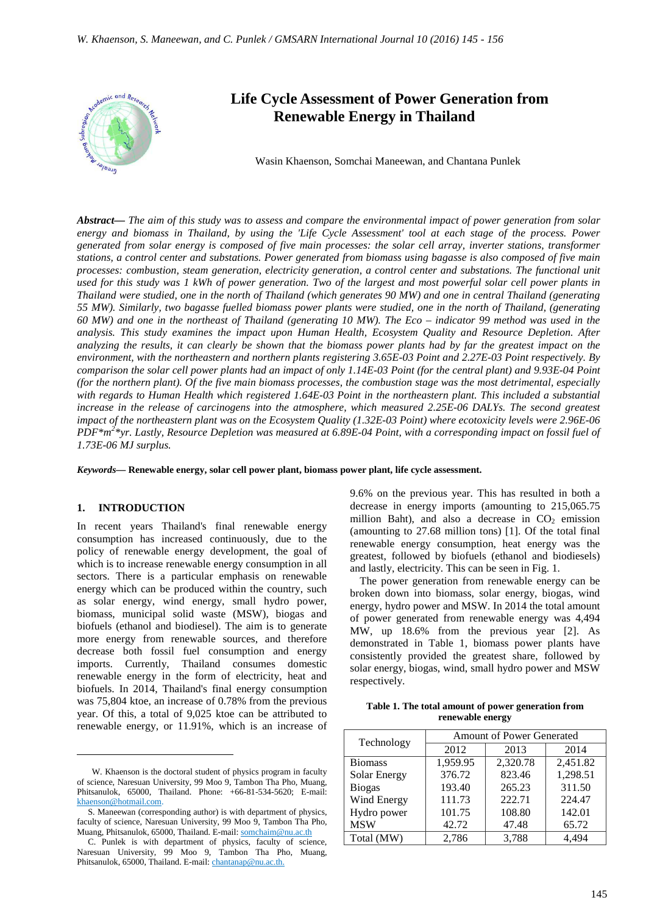

# **Life Cycle Assessment of Power Generation from Renewable Energy in Thailand**

Wasin Khaenson, Somchai Maneewan, and Chantana Punlek

*Abstract***—** *The aim of this study was to assess and compare the environmental impact of power generation from solar energy and biomass in Thailand, by using the 'Life Cycle Assessment' tool at each stage of the process. Power generated from solar energy is composed of five main processes: the solar cell array, inverter stations, transformer stations, a control center and substations. Power generated from biomass using bagasse is also composed of five main processes: combustion, steam generation, electricity generation, a control center and substations. The functional unit used for this study was 1 kWh of power generation. Two of the largest and most powerful solar cell power plants in Thailand were studied, one in the north of Thailand (which generates 90 MW) and one in central Thailand (generating 55 MW). Similarly, two bagasse fuelled biomass power plants were studied, one in the north of Thailand, (generating 60 MW) and one in the northeast of Thailand (generating 10 MW). The Eco – indicator 99 method was used in the analysis. This study examines the impact upon Human Health, Ecosystem Quality and Resource Depletion. After analyzing the results, it can clearly be shown that the biomass power plants had by far the greatest impact on the environment, with the northeastern and northern plants registering 3.65E-03 Point and 2.27E-03 Point respectively. By comparison the solar cell power plants had an impact of only 1.14E-03 Point (for the central plant) and 9.93E-04 Point (for the northern plant). Of the five main biomass processes, the combustion stage was the most detrimental, especially with regards to Human Health which registered 1.64E-03 Point in the northeastern plant. This included a substantial increase in the release of carcinogens into the atmosphere, which measured 2.25E-06 DALYs. The second greatest impact of the northeastern plant was on the Ecosystem Quality (1.32E-03 Point) where ecotoxicity levels were 2.96E-06*  PDF<sup>\*m<sup>2</sup>\*yr. Lastly, Resource Depletion was measured at 6.89E-04 Point, with a corresponding impact on fossil fuel of</sup> *1.73E-06 MJ surplus.*

*Keywords***— Renewable energy, solar cell power plant, biomass power plant, life cycle assessment.**

### **1. INTRODUCTION**

 $\overline{a}$ 

In recent years Thailand's final renewable energy consumption has increased continuously, due to the policy of renewable energy development, the goal of which is to increase renewable energy consumption in all sectors. There is a particular emphasis on renewable energy which can be produced within the country, such as solar energy, wind energy, small hydro power, biomass, municipal solid waste (MSW), biogas and biofuels (ethanol and biodiesel). The aim is to generate more energy from renewable sources, and therefore decrease both fossil fuel consumption and energy imports. Currently, Thailand consumes domestic renewable energy in the form of electricity, heat and biofuels. In 2014, Thailand's final energy consumption was 75,804 ktoe, an increase of 0.78% from the previous year. Of this, a total of 9,025 ktoe can be attributed to renewable energy, or 11.91%, which is an increase of 9.6% on the previous year. This has resulted in both a decrease in energy imports (amounting to 215,065.75 million Baht), and also a decrease in  $CO<sub>2</sub>$  emission (amounting to 27.68 million tons) [1]. Of the total final renewable energy consumption, heat energy was the greatest, followed by biofuels (ethanol and biodiesels) and lastly, electricity. This can be seen in Fig. 1.

The power generation from renewable energy can be broken down into biomass, solar energy, biogas, wind energy, hydro power and MSW. In 2014 the total amount of power generated from renewable energy was 4,494 MW, up 18.6% from the previous year [2]. As demonstrated in Table 1, biomass power plants have consistently provided the greatest share, followed by solar energy, biogas, wind, small hydro power and MSW respectively.

| Table 1. The total amount of power generation from |
|----------------------------------------------------|
| renewable energy                                   |

| Technology     | <b>Amount of Power Generated</b> |          |          |  |  |  |
|----------------|----------------------------------|----------|----------|--|--|--|
|                | 2012<br>2013                     |          | 2014     |  |  |  |
| <b>Biomass</b> | 1,959.95                         | 2,320.78 | 2,451.82 |  |  |  |
| Solar Energy   | 376.72                           | 823.46   | 1,298.51 |  |  |  |
| <b>Biogas</b>  | 193.40                           | 265.23   | 311.50   |  |  |  |
| Wind Energy    | 111.73                           | 222.71   | 224.47   |  |  |  |
| Hydro power    | 101.75                           | 108.80   | 142.01   |  |  |  |
| <b>MSW</b>     | 42.72                            | 47.48    | 65.72    |  |  |  |
| Total (MW)     | 2,786                            | 3,788    |          |  |  |  |

W. Khaenson is the doctoral student of physics program in faculty of science, Naresuan University, 99 Moo 9, Tambon Tha Pho, Muang, Phitsanulok, 65000, Thailand. Phone: +66-81-534-5620; E-mail: khaenson@hotmail.com.

S. Maneewan (corresponding author) is with department of physics, faculty of science, Naresuan University, 99 Moo 9, Tambon Tha Pho, Muang, Phitsanulok, 65000, Thailand. E-mail: somchaim@nu.ac.th

C. Punlek is with department of physics, faculty of science, Naresuan University, 99 Moo 9, Tambon Tha Pho, Muang, Phitsanulok, 65000, Thailand. E-mail: chantanap@nu.ac.th.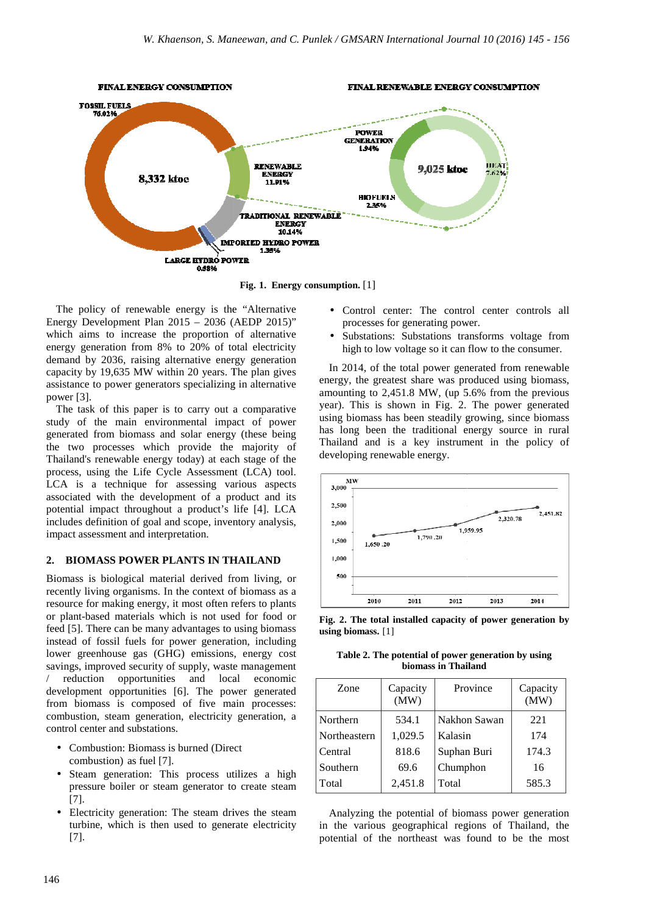

**Fig. 1. Energy consumption.** [1]

The policy of renewable energy is the "Alternative Energy Development Plan 2015 – 2036 (AEDP 2015)" which aims to increase the proportion of alternative energy generation from 8% to 20% of total electricity demand by 2036, raising alternative energy generation capacity by 19,635 MW within 20 years. The plan gives assistance to power generators specializing in alternative power [3].

The task of this paper is to carry out a comparative study of the main environmental impact of power generated from biomass and solar energy (these being the two processes which provide the majority of Thailand's renewable energy today) at each stage of the process, using the Life Cycle Assessment (LCA) tool. LCA is a technique for assessing various aspects associated with the development of a product and its potential impact throughout a product's life [4]. LCA includes definition of goal and scope, inventory analysis, impact assessment and interpretation. hich aims to increase the proportion of alternative<br>ergy generation from 8% to 20% of total electricity<br>mand by 2036, raising alternative energy generation<br>pacity by 19,635 MW within 20 years. The plan gives<br>sistance to po

#### **2. BIOMASS POWER PLANTS IN THAILAND**

Biomass is biological material derived from living, or recently living organisms. In the context of biomass as a resource for making energy, it most often refers to plants or plant-based materials which is not used for food or feed [5]. There can be many advantages to using biomass instead of fossil fuels for power generation, including lower greenhouse gas (GHG) emissions, energy cost savings, improved security of supply, waste management reduction opportunities and local economic development opportunities [6]. The power generated from biomass is composed of five main processes: combustion, steam generation, electricity g control center and substations. ]. There can be many advantages to using biomass<br>of fossil fuels for power generation, including<br>greenhouse gas (GHG) emissions, energy cost<br>s, improved security of supply, waste management<br>uction opportunities and local e ]. The power generated<br>of five main processes:<br>electricity generation, a

- Combustion: Biomass is burned (Direct combustion) as fuel [7]. • Combustion: Biomass is burned (Direct<br>
combustion) as fuel [7].<br>
• Steam generation: This process utilizes a high
- pressure boiler or steam generator to create steam [7].
- Electricity generation: The steam drives the steam Electricity generation: The steam drives the steam<br>turbine, which is then used to generate electricity [7].
- Control center: The control center controls all processes for generating power.
- Substations: Substations transforms voltage from high to low voltage so it can flow to the consumer.

In 2014, of the total power generated from renewable energy, the greatest share was produced using biomass, amounting to 2,451.8 MW, (up 5.6% from the previous year). This is shown in Fig. 2. The power generated year). This is shown in Fig. 2. The power generated using biomass has been steadily growing, since biomass has long been the traditional energy source in rural Thailand and is a key instrument in the policy of developing renewable energy.



**Fig. 2. The total installed capacity of power generation by using biomass.** [1]

**Table 2. The potential of power generation by using biomass in Thailand**

| Zone         | Capacity<br>(MW) | Province     | Capacity<br>(MW) |
|--------------|------------------|--------------|------------------|
| Northern     | 534.1            | Nakhon Sawan | 221              |
| Northeastern | 1,029.5          | Kalasin      | 174              |
| Central      | 818.6            | Suphan Buri  | 174.3            |
| Southern     | 69.6             | Chumphon     | 16               |
| Total        | 2,451.8          | Total        | 585.3            |

Analyzing the potential of biomass power generation in the various geographical regions of Thailand, the potential of the northeast was found to be the most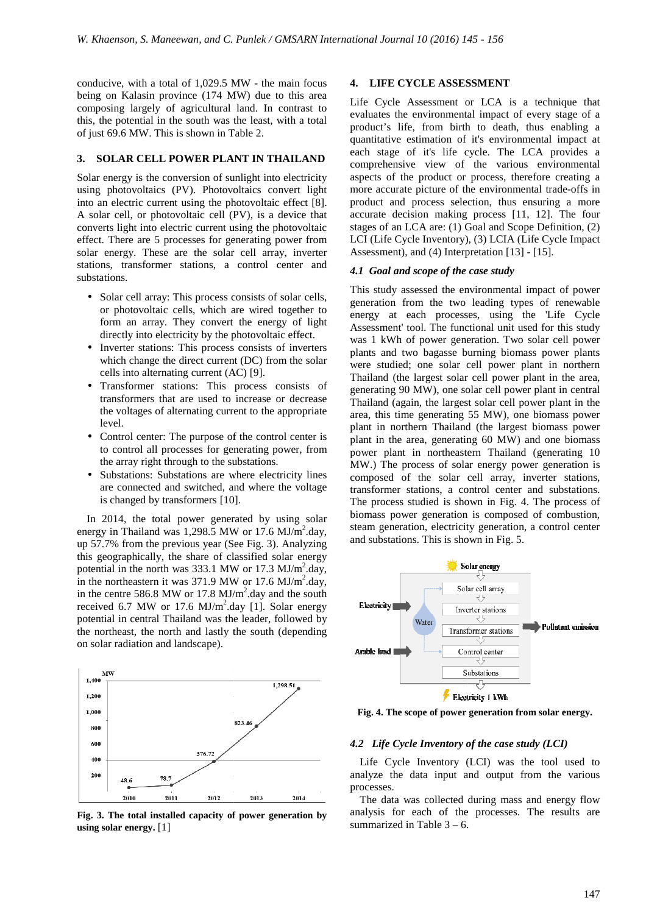conducive, with a total of 1,029.5 MW - the main focus being on Kalasin province (174 MW) due to this area composing largely of agricultural land. In contrast to this, the potential in the south was the least, with a total this, the potential in the south was the lease of just 69.6 MW. This is shown in Table 2.

#### **3. SOLAR CELL POWER PLANT IN THAILAND**

Solar energy is the conversion of sunlight into electricity using photovoltaics (PV). Photovoltaics convert light into an electric current using the photovoltaic effect [8]. A solar cell, or photovoltaic cell (PV), is a device that converts light into electric current using the photovoltaic effect. There are 5 processes for generating power from solar energy. These are the solar cell array, inverter stations, transformer stations, a control center and substations. sion of sunlight into electricity<br>
1. Photovoltaics convert light<br>
ing the photovoltaic effect [8].

- Solar cell array: This process consists of solar cells, or photovoltaic cells, which are wired together to or photovoltaic cells, which are form an array. They convert the energy of light directly into electricity by the photovoltaic effect.
- Inverter stations: This process consists of inverters which change the direct current (DC) from the solar cells into alternating current (AC) [9 array. They convert the en<br>to electricity by the photovol<br>tations: This process consist<br>unge the direct current (DC) 1<br>alternating current (AC) [9].
- Transformer stations: This process consists of transformers that are used to increase or decrease the voltages of alternating current to the appropriate level. ner stations: This process consists of<br>ers that are used to increase or decrease<br>ges of alternating current to the appropriate<br>enter: The purpose of the control center is
- Control center: The purpose of the control center is to control all processes for generating power, from the array right through to the substations.
- Substations: Substations are where electricity lines are connected and switched, and where the voltag is changed by transformers [10]. ubstations.<br>where electricity lines<br>and where the voltage

In 2014, the total power generated by using solar energy in Thailand was  $1,298.5$  MW or  $17.6$  MJ/m<sup>2</sup>.day, up 57.7% from the previous year (See Fig. 3 3). Analyzing this geographically, the share of classified solar energy potential in the north was  $333.1$  MW or  $17.3$  MJ/m<sup>2</sup>.day, in the northeastern it was  $371.9$  MW or  $17.6$  MJ/m<sup>2</sup>.day, in the centre 586.8 MW or 17.8  $MJ/m<sup>2</sup>$  day and the south received 6.7 MW or 17.6  $MJ/m<sup>2</sup>$ .day [1]. Solar energy potential in central Thailand was the leader, followed by potential in central Thailand was the leader, followed by the northeast, the north and lastly the south (depending on solar radiation and landscape).



**Fig. 3. The total installed capacity of power generation by using solar energy.** [1]

## **4. LIFE CYCLE ASSESSMENT**

Life Cycle Assessment or LCA is a technique that Life Cycle Assessment or LCA is a technique that evaluates the environmental impact of every stage of a product's life, from birth to death, thus enabling a quantitative estimation of it's environmental impact at each stage of it's life cycle. The LCA provides a comprehensive view of the various environmental aspects of the product or process, therefore creating a more accurate picture of the environmental trade-offs in product and process selection, thus ensuring a more accurate decision making process [1 [11, 12]. The four stages of an LCA are: (1) Goal and Scope Definition, (2) LCI (Life Cycle Inventory), (3) LCIA (Life Cycle Impact Assessment), and  $(4)$  Interpretation  $[13]$  -  $[15]$ .

#### *4.1 Goal and scope of the case study*

This study assessed the environmental impact of power generation from the two leading types of renewable energy at each processes, using the 'Life Cycle Assessment' tool. The functional unit used for this study was 1 kWh of power generation. Two solar cell power plants and two bagasse burning biomass power plants were studied; one solar cell power plant in n northern Thailand (the largest solar cell power plant in the area, generating 90 MW), one solar cell power plant in central Thailand (again, the largest solar cell power plant in the area, this time generating 55 MW), one biomass power plant in northern Thailand (the largest biomass power plant in the area, generating 60 MW) and one biomass power plant in northeastern Thailand (generating 10 MW.) The process of solar energy power generation is composed of the solar cell array, inverter stations, transformer stations, a control center and s The process studied is shown in Fig. 4. The process of biomass power generation is composed of combustion, steam generation, electricity g generation, a control center and substations. This is shown in Fig. 5. orthern Thailand (the largest biomass power<br>le area, generating 60 MW) and one biomass<br>ant in northeastern Thailand (generating 10 lar energy power generation is<br>cell array, inverter stations,<br>control center and substations.



**Fig. 4. The scope of power generation from solar energy.**

#### *4.2 Life Cycle Inventory of the case study (LCI)*

Life Cycle Inventory (LCI) was the tool used to analyze the data input and output from the various processes.

The data was collected during mass and energy flow analysis for each of the processes. The results are summarized in Table  $3 - 6$ .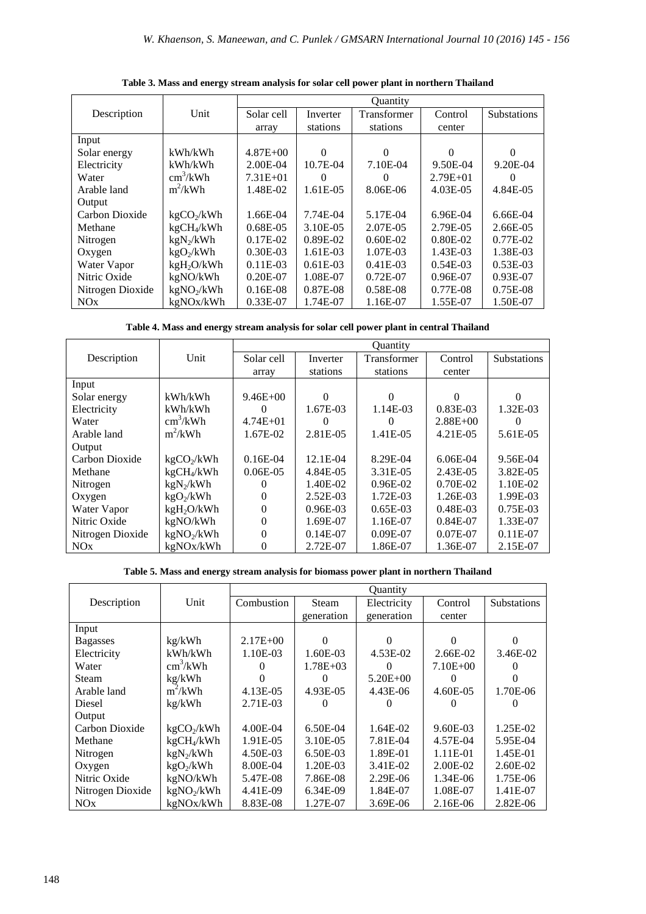|                  |                          | <b>Ouantity</b> |              |                    |              |                    |
|------------------|--------------------------|-----------------|--------------|--------------------|--------------|--------------------|
| Description      | Unit                     | Solar cell      | Inverter     | <b>Transformer</b> | Control      | <b>Substations</b> |
|                  |                          | array           | stations     | stations           | center       |                    |
| Input            |                          |                 |              |                    |              |                    |
| Solar energy     | kWh/kWh                  | $4.87E + 00$    | 0            | $\Omega$           | 0            | $\Omega$           |
| Electricity      | kWh/kWh                  | 2.00E-04        | $10.7E-04$   | 7.10E-04           | 9.50E-04     | 9.20E-04           |
| Water            | $\text{cm}^3/\text{kWh}$ | $7.31E + 01$    | $\mathbf{0}$ |                    | $2.79E + 01$ |                    |
| Arable land      | $m^2/kWh$                | 1.48E-02        | 1.61E-05     | 8.06E-06           | 4.03E-05     | 4.84E-05           |
| Output           |                          |                 |              |                    |              |                    |
| Carbon Dioxide   | kgCO <sub>2</sub> /kWh   | 1.66E-04        | 7.74E-04     | 5.17E-04           | $6.96E-04$   | $6.66E-04$         |
| Methane          | kgCH <sub>4</sub> /kWh   | $0.68E - 0.5$   | 3.10E-05     | 2.07E-05           | 2.79E-05     | 2.66E-05           |
| Nitrogen         | $kgN_2/kWh$              | $0.17E-02$      | $0.89E-02$   | $0.60E-02$         | $0.80E - 02$ | $0.77E-02$         |
| Oxygen           | kgO <sub>2</sub> /kWh    | $0.30E-03$      | $1.61E-03$   | 1.07E-03           | 1.43E-03     | 1.38E-03           |
| Water Vapor      | kgH <sub>2</sub> O/kWh   | $0.11E-03$      | $0.61E-03$   | $0.41E-03$         | $0.54E-03$   | $0.53E-03$         |
| Nitric Oxide     | kgNO/kWh                 | $0.20E-07$      | 1.08E-07     | $0.72E-07$         | $0.96E-07$   | $0.93E-07$         |
| Nitrogen Dioxide | kgNO <sub>2</sub> /kWh   | $0.16E-08$      | 0.87E-08     | 0.58E-08           | $0.77E-08$   | $0.75E-08$         |
| NOx              | kgNOx/kWh                | $0.33E-07$      | 1.74E-07     | 1.16E-07           | 1.55E-07     | 1.50E-07           |

**Table 3. Mass and energy stream analysis for solar cell power plant in northern Thailand** 

|  |  | Table 4. Mass and energy stream analysis for solar cell power plant in central Thailand |
|--|--|-----------------------------------------------------------------------------------------|
|--|--|-----------------------------------------------------------------------------------------|

|                  |                          | <b>Ouantity</b> |            |             |              |                    |
|------------------|--------------------------|-----------------|------------|-------------|--------------|--------------------|
| Description      | Unit                     | Solar cell      | Inverter   | Transformer | Control      | <b>Substations</b> |
|                  |                          | array           | stations   | stations    | center       |                    |
| Input            |                          |                 |            |             |              |                    |
| Solar energy     | kWh/kWh                  | $9.46E + 00$    | $\Omega$   | 0           | 0            | $\theta$           |
| Electricity      | kWh/kWh                  | $\Omega$        | 1.67E-03   | 1.14E-03    | $0.83E-03$   | 1.32E-03           |
| Water            | $\text{cm}^3/\text{kWh}$ | $4.74E + 01$    | 0          | 0           | $2.88E + 00$ |                    |
| Arable land      | $m^2/kWh$                | 1.67E-02        | 2.81E-05   | 1.41E-05    | 4.21E-05     | 5.61E-05           |
| Output           |                          |                 |            |             |              |                    |
| Carbon Dioxide   | kgCO <sub>2</sub> /kWh   | $0.16E-04$      | 12.1E-04   | 8.29E-04    | $6.06E-04$   | 9.56E-04           |
| Methane          | kgCH <sub>4</sub> /kWh   | $0.06E-0.5$     | 4.84E-05   | 3.31E-05    | 2.43E-05     | 3.82E-05           |
| Nitrogen         | $kgN_2/kWh$              |                 | 1.40E-02   | $0.96E-02$  | $0.70E-02$   | 1.10E-02           |
| Oxygen           | kgO <sub>2</sub> /kWh    | 0               | $2.52E-03$ | 1.72E-03    | 1.26E-03     | 1.99E-03           |
| Water Vapor      | kgH <sub>2</sub> O/kWh   | $\theta$        | $0.96E-03$ | $0.65E-03$  | $0.48E - 03$ | $0.75E-03$         |
| Nitric Oxide     | kgNO/kWh                 | $\theta$        | 1.69E-07   | 1.16E-07    | $0.84E - 07$ | 1.33E-07           |
| Nitrogen Dioxide | kgNO <sub>2</sub> /kWh   | $\Omega$        | $0.14E-07$ | $0.09E-07$  | $0.07E-07$   | $0.11E-07$         |
| NOx              | kgNOx/kWh                | 0               | 2.72E-07   | 1.86E-07    | 1.36E-07     | 2.15E-07           |

**Table 5. Mass and energy stream analysis for biomass power plant in northern Thailand** 

|                  |                          | <b>Ouantity</b> |              |              |              |                    |
|------------------|--------------------------|-----------------|--------------|--------------|--------------|--------------------|
| Description      | Unit                     | Combustion      | <b>Steam</b> | Electricity  | Control      | <b>Substations</b> |
|                  |                          |                 | generation   | generation   | center       |                    |
| Input            |                          |                 |              |              |              |                    |
| <b>Bagasses</b>  | kg/kWh                   | $2.17E + 00$    | 0            | 0            | $\Omega$     | $\Omega$           |
| Electricity      | kWh/kWh                  | 1.10E-03        | 1.60E-03     | 4.53E-02     | 2.66E-02     | 3.46E-02           |
| Water            | $\text{cm}^3/\text{kWh}$ |                 | $1.78E + 03$ | 0            | $7.10E + 00$ |                    |
| Steam            | kg/kWh                   |                 | $^{(1)}$     | $5.20E + 00$ |              |                    |
| Arable land      | $m^2/kWh$                | 4.13E-05        | 4.93E-05     | 4.43E-06     | 4.60E-05     | 1.70E-06           |
| Diesel           | kg/kWh                   | 2.71E-03        |              |              |              |                    |
| Output           |                          |                 |              |              |              |                    |
| Carbon Dioxide   | kgCO <sub>2</sub> /kWh   | 4.00E-04        | 6.50E-04     | 1.64E-02     | 9.60E-03     | 1.25E-02           |
| Methane          | kgCH <sub>4</sub> /kWh   | 1.91E-05        | 3.10E-05     | 7.81E-04     | 4.57E-04     | 5.95E-04           |
| Nitrogen         | $kgN_2/kWh$              | 4.50E-03        | 6.50E-03     | 1.89E-01     | $1.11E-01$   | 1.45E-01           |
| Oxygen           | kgO <sub>2</sub> /kWh    | 8.00E-04        | 1.20E-03     | 3.41E-02     | 2.00E-02     | $2.60E-02$         |
| Nitric Oxide     | kgNO/kWh                 | 5.47E-08        | 7.86E-08     | $2.29E-06$   | 1.34E-06     | 1.75E-06           |
| Nitrogen Dioxide | kgNO <sub>2</sub> /kWh   | 4.41E-09        | 6.34E-09     | 1.84E-07     | 1.08E-07     | 1.41E-07           |
| NOx              | kgNOx/kWh                | 8.83E-08        | 1.27E-07     | 3.69E-06     | $2.16E-06$   | $2.82E-06$         |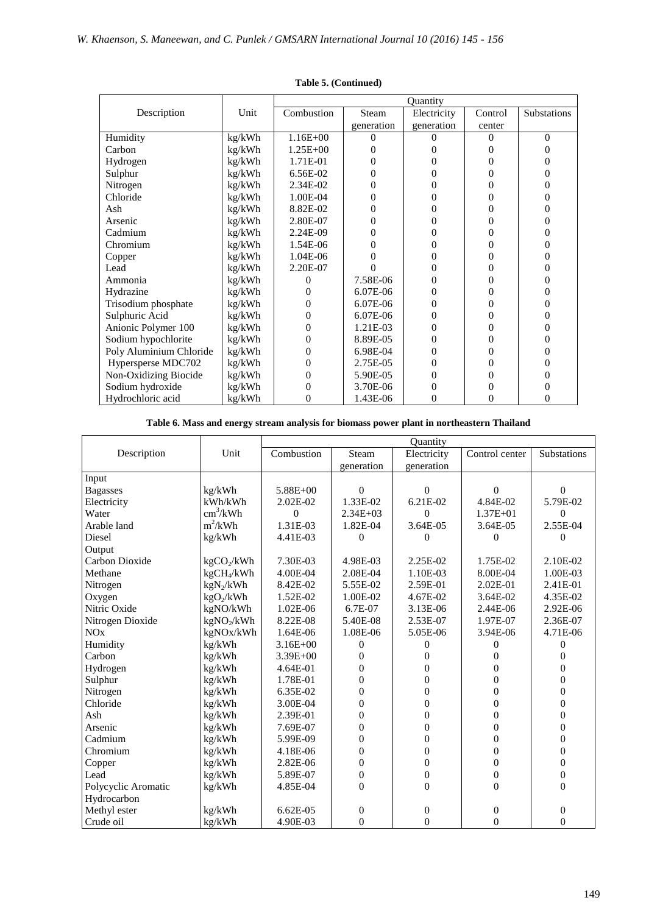|                         |        | <b>Ouantity</b> |            |             |          |             |
|-------------------------|--------|-----------------|------------|-------------|----------|-------------|
| Description             | Unit   | Combustion      | Steam      | Electricity | Control  | Substations |
|                         |        |                 | generation | generation  | center   |             |
| Humidity                | kg/kWh | $1.16E + 00$    | 0          | 0           | 0        | $\theta$    |
| Carbon                  | kg/kWh | $1.25E + 00$    |            | 0           | 0        | 0           |
| Hydrogen                | kg/kWh | 1.71E-01        | $_{0}$     | 0           | $\Omega$ | 0           |
| Sulphur                 | kg/kWh | 6.56E-02        | 0          | 0           | 0        | 0           |
| Nitrogen                | kg/kWh | 2.34E-02        | 0          | 0           | $\theta$ | 0           |
| Chloride                | kg/kWh | 1.00E-04        | $\theta$   | 0           | 0        | 0           |
| Ash                     | kg/kWh | 8.82E-02        | 0          | 0           | 0        | 0           |
| Arsenic                 | kg/kWh | 2.80E-07        | 0          | 0           | 0        | 0           |
| Cadmium                 | kg/kWh | 2.24E-09        | 0          | 0           | 0        | 0           |
| Chromium                | kg/kWh | 1.54E-06        | $\theta$   | 0           | $\Omega$ | 0           |
| Copper                  | kg/kWh | 1.04E-06        |            | 0           | $\Omega$ | 0           |
| Lead                    | kg/kWh | 2.20E-07        |            | 0           | 0        | 0           |
| Ammonia                 | kg/kWh | 0               | 7.58E-06   | 0           | 0        | 0           |
| Hydrazine               | kg/kWh | 0               | 6.07E-06   | $\theta$    | 0        | 0           |
| Trisodium phosphate     | kg/kWh | $\theta$        | 6.07E-06   | 0           | 0        | 0           |
| Sulphuric Acid          | kg/kWh | $\theta$        | $6.07E-06$ | 0           | 0        | 0           |
| Anionic Polymer 100     | kg/kWh | 0               | 1.21E-03   | 0           | 0        | 0           |
| Sodium hypochlorite     | kg/kWh | 0               | 8.89E-05   | 0           | 0        | 0           |
| Poly Aluminium Chloride | kg/kWh | 0               | 6.98E-04   | 0           | 0        | 0           |
| Hypersperse MDC702      | kg/kWh | $\theta$        | 2.75E-05   | 0           | 0        | 0           |
| Non-Oxidizing Biocide   | kg/kWh | 0               | 5.90E-05   | 0           | 0        | $\theta$    |
| Sodium hydroxide        | kg/kWh | 0               | 3.70E-06   | 0           |          | 0           |
| Hydrochloric acid       | kg/kWh | 0               | 1.43E-06   | 0           | 0        | 0           |

## **Table 5. (Continued)**

**Table 6. Mass and energy stream analysis for biomass power plant in northeastern Thailand** 

|                     |                          | Quantity     |                |                  |                  |                    |
|---------------------|--------------------------|--------------|----------------|------------------|------------------|--------------------|
| Description         | Unit                     | Combustion   | Steam          | Electricity      | Control center   | <b>Substations</b> |
|                     |                          |              | generation     | generation       |                  |                    |
| Input               |                          |              |                |                  |                  |                    |
| <b>Bagasses</b>     | kg/kWh                   | $5.88E + 00$ | $\theta$       | $\theta$         | $\theta$         | 0                  |
| Electricity         | kWh/kWh                  | $2.02E-02$   | 1.33E-02       | 6.21E-02         | 4.84E-02         | 5.79E-02           |
| Water               | $\text{cm}^3/\text{kWh}$ | $\theta$     | $2.34E + 03$   | $\Omega$         | $1.37E + 01$     | $\Omega$           |
| Arable land         | $m^2/kWh$                | 1.31E-03     | 1.82E-04       | 3.64E-05         | 3.64E-05         | 2.55E-04           |
| Diesel              | kg/kWh                   | 4.41E-03     | $\Omega$       | 0                | $\Omega$         | 0                  |
| Output              |                          |              |                |                  |                  |                    |
| Carbon Dioxide      | $kgCO_2/kWh$             | 7.30E-03     | 4.98E-03       | 2.25E-02         | 1.75E-02         | 2.10E-02           |
| Methane             | kgCH <sub>4</sub> /kWh   | 4.00E-04     | 2.08E-04       | 1.10E-03         | 8.00E-04         | 1.00E-03           |
| Nitrogen            | $kgN_2/kWh$              | 8.42E-02     | 5.55E-02       | 2.59E-01         | 2.02E-01         | 2.41E-01           |
| Oxygen              | kgO <sub>2</sub> /kWh    | 1.52E-02     | 1.00E-02       | 4.67E-02         | 3.64E-02         | 4.35E-02           |
| Nitric Oxide        | kgNO/kWh                 | 1.02E-06     | 6.7E-07        | 3.13E-06         | 2.44E-06         | 2.92E-06           |
| Nitrogen Dioxide    | kgNO <sub>2</sub> /kWh   | 8.22E-08     | 5.40E-08       | 2.53E-07         | 1.97E-07         | 2.36E-07           |
| NOx                 | kgNOx/kWh                | 1.64E-06     | 1.08E-06       | 5.05E-06         | 3.94E-06         | 4.71E-06           |
| Humidity            | kg/kWh                   | $3.16E + 00$ | $\Omega$       | 0                | $\Omega$         | 0                  |
| Carbon              | kg/kWh                   | $3.39E + 00$ | $\theta$       | $\overline{0}$   | $\Omega$         | 0                  |
| Hydrogen            | kg/kWh                   | 4.64E-01     | $\Omega$       | $\overline{0}$   | $\Omega$         | $\boldsymbol{0}$   |
| Sulphur             | kg/kWh                   | 1.78E-01     | $\Omega$       | $\overline{0}$   | $\Omega$         | $\boldsymbol{0}$   |
| Nitrogen            | kg/kWh                   | 6.35E-02     | $\theta$       | $\overline{0}$   | $\theta$         | $\boldsymbol{0}$   |
| Chloride            | kg/kWh                   | 3.00E-04     | $\theta$       | $\boldsymbol{0}$ | $\mathbf{0}$     | $\boldsymbol{0}$   |
| Ash                 | kg/kWh                   | 2.39E-01     | $\Omega$       | $\boldsymbol{0}$ | $\mathbf{0}$     | $\boldsymbol{0}$   |
| Arsenic             | kg/kWh                   | 7.69E-07     | $\theta$       | $\boldsymbol{0}$ | $\mathbf{0}$     | $\boldsymbol{0}$   |
| Cadmium             | kg/kWh                   | 5.99E-09     | $\theta$       | $\boldsymbol{0}$ | $\overline{0}$   | $\boldsymbol{0}$   |
| Chromium            | kg/kWh                   | 4.18E-06     | $\theta$       | $\boldsymbol{0}$ | $\mathbf{0}$     | $\boldsymbol{0}$   |
| Copper              | kg/kWh                   | 2.82E-06     | $\theta$       | $\overline{0}$   | $\theta$         | $\boldsymbol{0}$   |
| Lead                | kg/kWh                   | 5.89E-07     | $\overline{0}$ | $\boldsymbol{0}$ | $\mathbf{0}$     | $\boldsymbol{0}$   |
| Polycyclic Aromatic | kg/kWh                   | 4.85E-04     | $\theta$       | $\theta$         | $\Omega$         | $\overline{0}$     |
| Hydrocarbon         |                          |              |                |                  |                  |                    |
| Methyl ester        | kg/kWh                   | $6.62E-05$   | $\overline{0}$ | 0                | $\boldsymbol{0}$ | $\boldsymbol{0}$   |
| Crude oil           | kg/kWh                   | 4.90E-03     | $\mathbf{0}$   | $\overline{0}$   | $\mathbf{0}$     | $\overline{0}$     |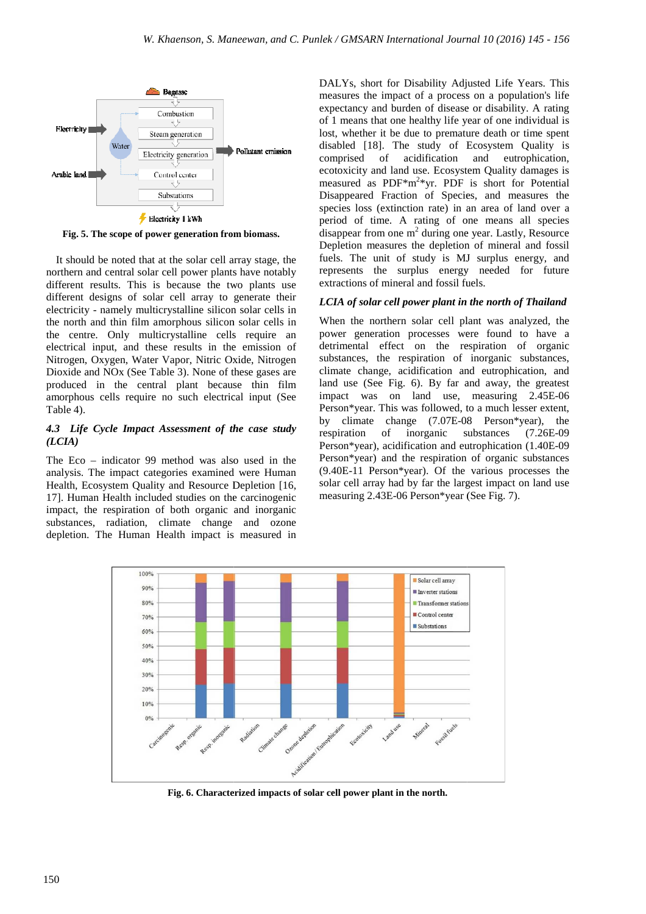

**Fig. 5. The scope of power generation from biomass biomass.**

It should be noted that at the solar cell array stage, the northern and central solar cell power plants have notably different results. This is because the two plants use different designs of solar cell array to generate their electricity - namely multicrystalline silicon solar cells in the north and thin film amorphous silicon solar cells in the centre. Only multicrystalline cells require an electrical input, and these results in the emission of Nitrogen, Oxygen, Water Vapor, Nitric Oxide, Nitrogen Dioxide and NOx (See Table 3). None of these gases are produced in the central plant because thin film Dioxide and NOx (See Table 3). None of these gases are produced in the central plant because thin film amorphous cells require no such electrical input (See Table 4).

### *4.3 Life Cycle Impact Assessment of the case study (LCIA)*

The Eco – indicator 99 method was also used in the analysis. The impact categories examined were Human Health, Ecosystem Quality and Resource Depletion [16, 17]. Human Health included studies on the carcinogenic impact, the respiration of both organic and inorganic substances, radiation, climate change and ozone depletion. The Human Health impact is measured in

DALYs, short for Disability Adjusted Life Years. This DALYs, short for Disability Adjusted Life Years. This measures the impact of a process on a population's life expectancy and burden of disease or disability. A rating of 1 means that one healthy life year of one individual is lost, whether it be due to premature death or time spent lost, whether it be due to premature death or time spent<br>disabled [18]. The study of Ecosystem Quality is comprised of acidification and eutrophication, ecotoxicity and land use. Ecosystem Quality damages is measured as PDF<sup>\*m<sup>2</sup>\*yr. PDF is short for Potential</sup> Disappeared Fraction of Species, and measures the species loss (extinction rate) in an area of land over a period of time. A rating of one means all species  $\overline{d}$ isappear from one m<sup>2</sup> during one year. Lastly, Resource Depletion measures the depletion of mineral and fossil fuels. The unit of study is MJ surplus energy, and represents the surplus energy needed for future extractions of mineral and fossil fuels.

### *LCIA of solar cell power plant in the north of Thailand*

When the northern solar cell plant was analyzed, the power generation processes were found to have a detrimental effect on the respiration of organic substances, the respiration of inorganic substances, climate change, acidification and eutrophication, and land use (See Fig. 6). By far and away, the greatest impact was on land use, measuring 2.45E-06 impact was on land use, measuring 2.45E-06 Person\*year. This was followed, to a much lesser extent, by climate change (7.07E-08 Person\*year), the respiration of inorganic substances (7.26E-09 respiration of inorganic substances (7.26E-09 Person\*year), acidification and eutrophication (1.40E (1.40E-09 Person\*year) and the respiration of organic substances (9.40E-11 Person\*year). Of the various processes the solar cell array had by far the largest impact on land use measuring 2.43E-06 Person\*year (See Fig. 7) 11 Person\*year). Of the various pro<br>
ill array had by far the largest impact c<br>
ing 2.43E-06 Person\*year (See Fig. 7).



**Fig. 6. Characterized impacts of of solar cell power plant in the north.**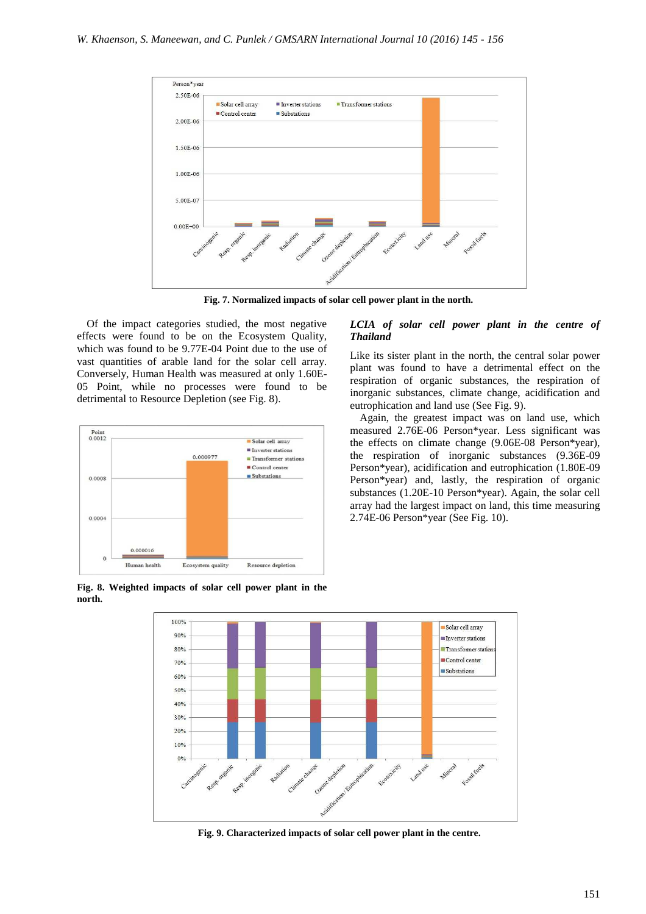

**Fig. 7. Normalized impacts of solar cell power plant in the north.**

Of the impact categories studied, the most negative effects were found to be on the Ecosystem Quality, which was found to be 9.77E-04 Point due to the use of vast quantities of arable land for the solar cell array. Conversely, Human Health was measured at only 1.60E-05 Point, while no processes were found to be detrimental to Resource Depletion (see Fig. 8).



#### **Fig. 8. Weighted impacts of solar cell power plant in the north.**

### *LCIA of solar cell power plant in the centre of Thailand*

Like its sister plant in the north, the central solar power plant was found to have a detrimental effect on the respiration of organic substances, the respiration of inorganic substances, climate change, acidification and eutrophication and land use (See Fig. 9).

Again, the greatest impact was on land use, which measured 2.76E-06 Person\*year. Less significant was the effects on climate change (9.06E-08 Person\*year), the respiration of inorganic substances (9.36E-09 Person\*year), acidification and eutrophication (1.80E-09 Person\*year) and, lastly, the respiration of organic substances (1.20E-10 Person\*year). Again, the solar cell array had the largest impact on land, this time measuring 2.74E-06 Person\*year (See Fig. 10).



**Fig. 9. Characterized impacts of solar cell power plant in the centre.**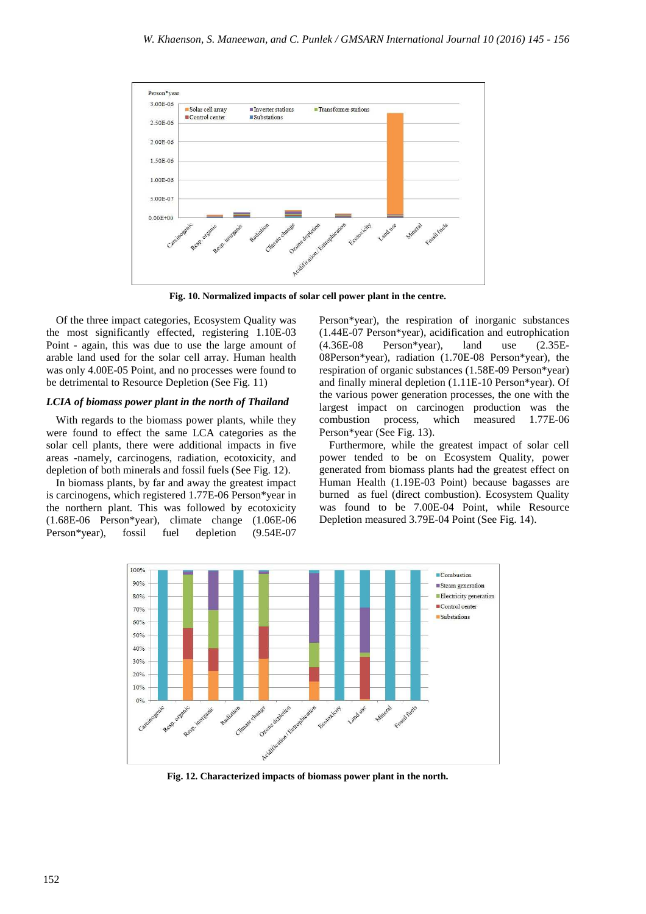

**Fig. 10. Normalized impacts of solar cell power plant in the centre.**

Of the three impact categories, Ecosystem Quality was the most significantly effected, registering 1.10E-03 Point - again, this was due to use the large amount of arable land used for the solar cell array. Human health was only 4.00E-05 Point, and no processes were found to be detrimental to Resource Depletion (See Fig. 11)

#### *LCIA of biomass power plant in the north of Thailand*

With regards to the biomass power plants, while they were found to effect the same LCA categories as the solar cell plants, there were additional impacts in five areas -namely, carcinogens, radiation, ecotoxicity, and depletion of both minerals and fossil fuels (See Fig. 12).

In biomass plants, by far and away the greatest impact is carcinogens, which registered 1.77E-06 Person\*year in the northern plant. This was followed by ecotoxicity (1.68E-06 Person\*year), climate change (1.06E-06 Person\*year), fossil fuel depletion (9.54E-07

Person\*year), the respiration of inorganic substances (1.44E-07 Person\*year), acidification and eutrophication (4.36E-08 Person\*year), land use (2.35E-08Person\*year), radiation (1.70E-08 Person\*year), the respiration of organic substances (1.58E-09 Person\*year) and finally mineral depletion (1.11E-10 Person\*year). Of the various power generation processes, the one with the largest impact on carcinogen production was the combustion process, which measured 1.77E-06 Person\*year (See Fig. 13).

Furthermore, while the greatest impact of solar cell power tended to be on Ecosystem Quality, power generated from biomass plants had the greatest effect on Human Health (1.19E-03 Point) because bagasses are burned as fuel (direct combustion). Ecosystem Quality was found to be 7.00E-04 Point, while Resource Depletion measured 3.79E-04 Point (See Fig. 14).



**Fig. 12. Characterized impacts of biomass power plant in the north.**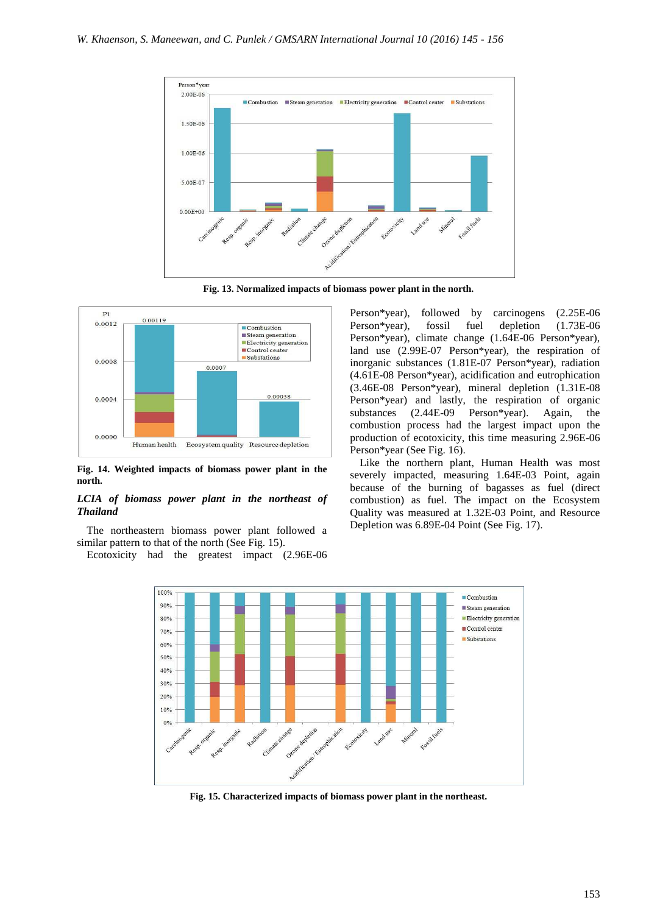

**Fig. 13. Normalized impacts of biomass power plant in the north.**



**Fig. 14. Weighted impacts of biomass power plant in the north.** 

#### *LCIA of biomass power plant in the northeast of Thailand*

The northeastern biomass power plant followed a similar pattern to that of the north (See Fig. 15).

Ecotoxicity had the greatest impact (2.96E-06

Person\*year), followed by carcinogens (2.25E-06 Person\*year), fossil fuel depletion (1.73E-06 Person\*year), climate change (1.64E-06 Person\*year), land use (2.99E-07 Person\*year), the respiration of inorganic substances (1.81E-07 Person\*year), radiation (4.61E-08 Person\*year), acidification and eutrophication (3.46E-08 Person\*year), mineral depletion (1.31E-08 Person\*year) and lastly, the respiration of organic substances (2.44E-09 Person\*year). Again, the combustion process had the largest impact upon the production of ecotoxicity, this time measuring 2.96E-06 Person\*year (See Fig. 16).

Like the northern plant, Human Health was most severely impacted, measuring 1.64E-03 Point, again because of the burning of bagasses as fuel (direct combustion) as fuel. The impact on the Ecosystem Quality was measured at 1.32E-03 Point, and Resource Depletion was 6.89E-04 Point (See Fig. 17).



**Fig. 15. Characterized impacts of biomass power plant in the northeast.**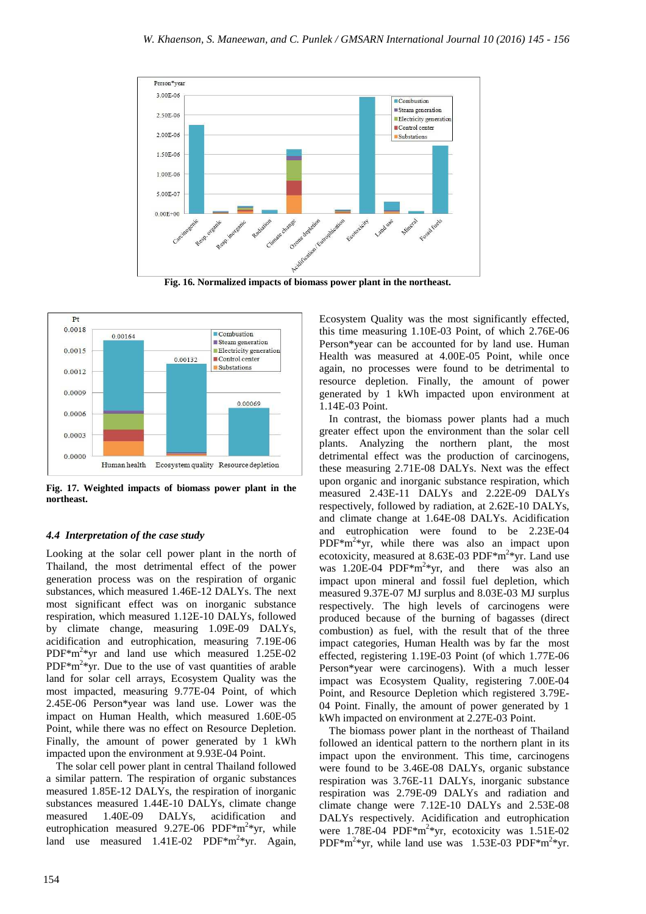



**Fig. 17. Weighted impacts of biomass power plant in the northeast.** 

### *4.4 Interpretation of the case study*

Looking at the solar cell power plant in the north of Thailand, the most detrimental effect of the power generation process was on the respiration of organic substances, which measured 1.46E-12 DALYs. The next most significant effect was on inorganic substance respiration, which measured 1.12E-10 DALYs, followed by climate change, measuring 1.09E-09 DALYs, acidification and eutrophication, measuring 7.19E-06 PDF\*m<sup>2</sup>\*yr and land use which measured 1.25E-02  $PDF*m<sup>2</sup>*yr.$  Due to the use of vast quantities of arable land for solar cell arrays, Ecosystem Quality was the most impacted, measuring 9.77E-04 Point, of which 2.45E-06 Person\*year was land use. Lower was the impact on Human Health, which measured 1.60E-05 Point, while there was no effect on Resource Depletion. Finally, the amount of power generated by 1 kWh impacted upon the environment at 9.93E-04 Point.

The solar cell power plant in central Thailand followed a similar pattern. The respiration of organic substances measured 1.85E-12 DALYs, the respiration of inorganic substances measured 1.44E-10 DALYs, climate change measured 1.40E-09 DALYs, acidification and eutrophication measured 9.27E-06 PDF $*$ m<sup>2</sup> $*$ yr, while land use measured  $1.41E-02$  PDF\*m<sup>2</sup>\*yr. Again,

Ecosystem Quality was the most significantly effected, this time measuring 1.10E-03 Point, of which 2.76E-06 Person\*year can be accounted for by land use. Human Health was measured at 4.00E-05 Point, while once again, no processes were found to be detrimental to resource depletion. Finally, the amount of power generated by 1 kWh impacted upon environment at 1.14E-03 Point.

In contrast, the biomass power plants had a much greater effect upon the environment than the solar cell plants. Analyzing the northern plant, the most detrimental effect was the production of carcinogens, these measuring 2.71E-08 DALYs. Next was the effect upon organic and inorganic substance respiration, which measured 2.43E-11 DALYs and 2.22E-09 DALYs respectively, followed by radiation, at 2.62E-10 DALYs, and climate change at 1.64E-08 DALYs. Acidification and eutrophication were found to be 2.23E-04  $PDF*m<sup>2</sup>*yr$ , while there was also an impact upon ecotoxicity, measured at 8.63E-03 PDF $*m^2*yr$ . Land use was  $1.20E-04$  PDF<sup>\*m<sup>2</sup>\*yr, and there was also an</sup> impact upon mineral and fossil fuel depletion, which measured 9.37E-07 MJ surplus and 8.03E-03 MJ surplus respectively. The high levels of carcinogens were produced because of the burning of bagasses (direct combustion) as fuel, with the result that of the three impact categories, Human Health was by far the most effected, registering 1.19E-03 Point (of which 1.77E-06 Person\*year were carcinogens). With a much lesser impact was Ecosystem Quality, registering 7.00E-04 Point, and Resource Depletion which registered 3.79E-04 Point. Finally, the amount of power generated by 1 kWh impacted on environment at 2.27E-03 Point.

The biomass power plant in the northeast of Thailand followed an identical pattern to the northern plant in its impact upon the environment. This time, carcinogens were found to be 3.46E-08 DALYs, organic substance respiration was 3.76E-11 DALYs, inorganic substance respiration was 2.79E-09 DALYs and radiation and climate change were 7.12E-10 DALYs and 2.53E-08 DALYs respectively. Acidification and eutrophication were  $1.78E-04$  PDF\*m<sup>2</sup>\*yr, ecotoxicity was  $1.51E-02$ PDF\*m<sup>2</sup>\*yr, while land use was 1.53E-03 PDF\*m<sup>2</sup>\*yr.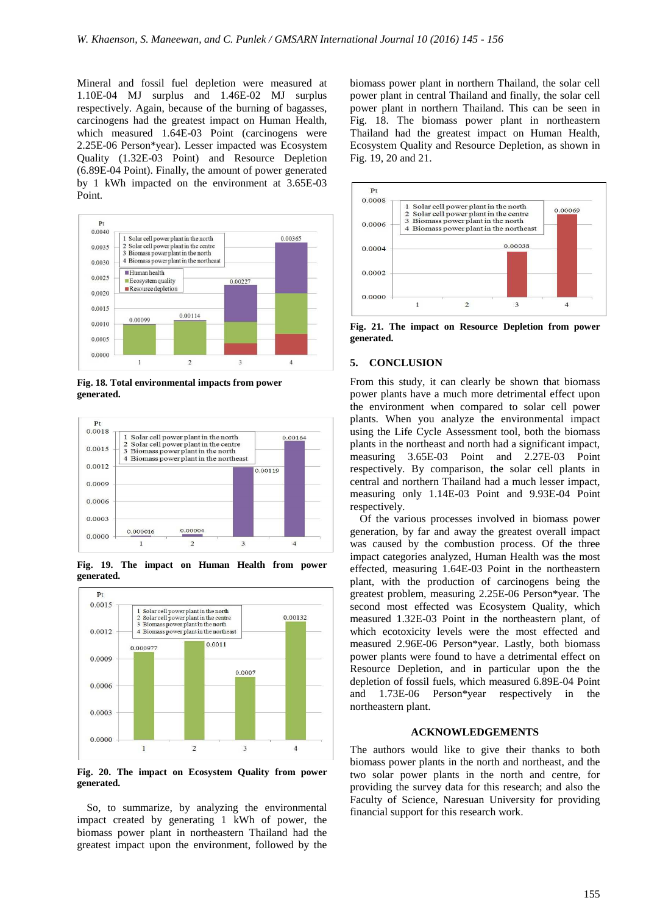Mineral and fossil fuel depletion were measured at 1.10E-04 MJ surplus and 1.46E-02 MJ surplus respectively. Again, because of the burning of bagasses, carcinogens had the greatest impact on Human Health, which measured 1.64E-03 Point (carcinogens were 2.25E-06 Person\*year). Lesser impacted was Ecosystem Quality (1.32E-03 Point) and Resource Depletion (6.89E-04 Point). Finally, the amount of power generated by 1 kWh impacted on the environment at 3.65E-03 Point.



**Fig. 18. Total environmental impacts from power generated.** 



**Fig. 19. The impact on Human Health from power generated.** 



**Fig. 20. The impact on Ecosystem Quality from power generated.** 

So, to summarize, by analyzing the environmental impact created by generating 1 kWh of power, the biomass power plant in northeastern Thailand had the greatest impact upon the environment, followed by the

biomass power plant in northern Thailand, the solar cell power plant in central Thailand and finally, the solar cell power plant in northern Thailand. This can be seen in Fig. 18. The biomass power plant in northeastern Thailand had the greatest impact on Human Health, Ecosystem Quality and Resource Depletion, as shown in Fig. 19, 20 and 21.



**Fig. 21. The impact on Resource Depletion from power generated.**

### **5. CONCLUSION**

From this study, it can clearly be shown that biomass power plants have a much more detrimental effect upon the environment when compared to solar cell power plants. When you analyze the environmental impact using the Life Cycle Assessment tool, both the biomass plants in the northeast and north had a significant impact, measuring 3.65E-03 Point and 2.27E-03 Point respectively. By comparison, the solar cell plants in central and northern Thailand had a much lesser impact, measuring only 1.14E-03 Point and 9.93E-04 Point respectively.

Of the various processes involved in biomass power generation, by far and away the greatest overall impact was caused by the combustion process. Of the three impact categories analyzed, Human Health was the most effected, measuring 1.64E-03 Point in the northeastern plant, with the production of carcinogens being the greatest problem, measuring 2.25E-06 Person\*year. The second most effected was Ecosystem Quality, which measured 1.32E-03 Point in the northeastern plant, of which ecotoxicity levels were the most effected and measured 2.96E-06 Person\*year. Lastly, both biomass power plants were found to have a detrimental effect on Resource Depletion, and in particular upon the the depletion of fossil fuels, which measured 6.89E-04 Point and 1.73E-06 Person\*year respectively in the northeastern plant.

#### **ACKNOWLEDGEMENTS**

The authors would like to give their thanks to both biomass power plants in the north and northeast, and the two solar power plants in the north and centre, for providing the survey data for this research; and also the Faculty of Science, Naresuan University for providing financial support for this research work.